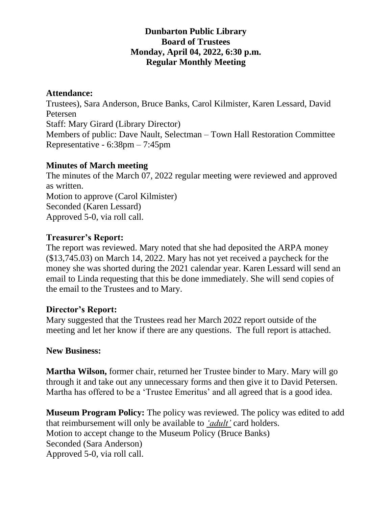# **Dunbarton Public Library Board of Trustees Monday, April 04, 2022, 6:30 p.m. Regular Monthly Meeting**

#### **Attendance:**

Trustees), Sara Anderson, Bruce Banks, Carol Kilmister, Karen Lessard, David Petersen Staff: Mary Girard (Library Director) Members of public: Dave Nault, Selectman – Town Hall Restoration Committee Representative - 6:38pm – 7:45pm

### **Minutes of March meeting**

The minutes of the March 07, 2022 regular meeting were reviewed and approved as written. Motion to approve (Carol Kilmister) Seconded (Karen Lessard) Approved 5-0, via roll call.

### **Treasurer's Report:**

The report was reviewed. Mary noted that she had deposited the ARPA money (\$13,745.03) on March 14, 2022. Mary has not yet received a paycheck for the money she was shorted during the 2021 calendar year. Karen Lessard will send an email to Linda requesting that this be done immediately. She will send copies of the email to the Trustees and to Mary.

# **Director's Report:**

Mary suggested that the Trustees read her March 2022 report outside of the meeting and let her know if there are any questions. The full report is attached.

#### **New Business:**

**Martha Wilson,** former chair, returned her Trustee binder to Mary. Mary will go through it and take out any unnecessary forms and then give it to David Petersen. Martha has offered to be a 'Trustee Emeritus' and all agreed that is a good idea.

**Museum Program Policy:** The policy was reviewed. The policy was edited to add that reimbursement will only be available to *'adult'* card holders. Motion to accept change to the Museum Policy (Bruce Banks) Seconded (Sara Anderson) Approved 5-0, via roll call.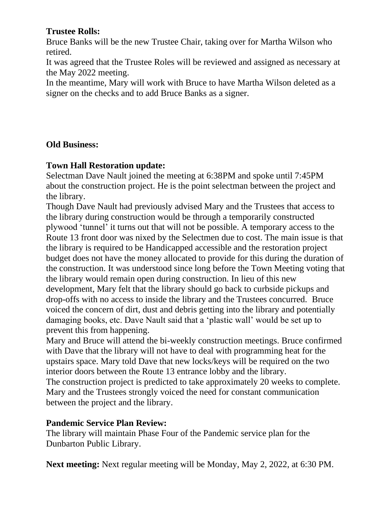### **Trustee Rolls:**

Bruce Banks will be the new Trustee Chair, taking over for Martha Wilson who retired.

It was agreed that the Trustee Roles will be reviewed and assigned as necessary at the May 2022 meeting.

In the meantime, Mary will work with Bruce to have Martha Wilson deleted as a signer on the checks and to add Bruce Banks as a signer.

### **Old Business:**

### **Town Hall Restoration update:**

Selectman Dave Nault joined the meeting at 6:38PM and spoke until 7:45PM about the construction project. He is the point selectman between the project and the library.

Though Dave Nault had previously advised Mary and the Trustees that access to the library during construction would be through a temporarily constructed plywood 'tunnel' it turns out that will not be possible. A temporary access to the Route 13 front door was nixed by the Selectmen due to cost. The main issue is that the library is required to be Handicapped accessible and the restoration project budget does not have the money allocated to provide for this during the duration of the construction. It was understood since long before the Town Meeting voting that the library would remain open during construction. In lieu of this new development, Mary felt that the library should go back to curbside pickups and drop-offs with no access to inside the library and the Trustees concurred. Bruce voiced the concern of dirt, dust and debris getting into the library and potentially damaging books, etc. Dave Nault said that a 'plastic wall' would be set up to prevent this from happening.

Mary and Bruce will attend the bi-weekly construction meetings. Bruce confirmed with Dave that the library will not have to deal with programming heat for the upstairs space. Mary told Dave that new locks/keys will be required on the two interior doors between the Route 13 entrance lobby and the library. The construction project is predicted to take approximately 20 weeks to complete. Mary and the Trustees strongly voiced the need for constant communication between the project and the library.

#### **Pandemic Service Plan Review:**

The library will maintain Phase Four of the Pandemic service plan for the Dunbarton Public Library.

**Next meeting:** Next regular meeting will be Monday, May 2, 2022, at 6:30 PM.